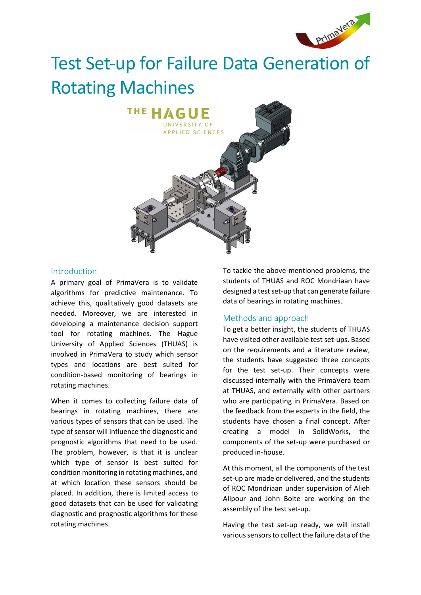

# Test Set-up for Failure Data Generation of Rotating Machines



#### Introduction

A primary goal of PrimaVera is to validate algorithms for predictive maintenance. To achieve this, qualitatively good datasets are needed. Moreover, we are interested in developing a maintenance decision support tool for rotating machines. The Hague University of Applied Sciences (THUAS) is involved in PrimaVera to study which sensor types and locations are best suited for condition-based monitoring of bearings in rotating machines.

When it comes to collecting failure data of bearings in rotating machines, there are various types of sensors that can be used. The type of sensor will influence the diagnostic and prognostic algorithms that need to be used. The problem, however, is that it is unclear which type of sensor is best suited for condition monitoring in rotating machines, and at which location these sensors should be placed. In addition, there is limited access to good datasets that can be used for validating diagnostic and prognostic algorithms for these rotating machines.

To tackle the above-mentioned problems, the students of THUAS and ROC Mondriaan have designed a test set-up that can generate failure data of bearings in rotating machines.

# Methods and approach

To get a better insight, the students of THUAS have visited other available test set-ups. Based on the requirements and a literature review, the students have suggested three concepts for the test set-up. Their concepts were discussed internally with the PrimaVera team at THUAS, and externally with other partners who are participating in PrimaVera. Based on the feedback from the experts in the field, the students have chosen a final concept. After creating a model in SolidWorks, the components of the set-up were purchased or produced in-house.

At this moment, all the components of the test set-up are made or delivered, and the students of ROC Mondriaan under supervision of Alieh Alipour and John Bolte are working on the assembly of the test set-up.

Having the test set-up ready, we will install various sensors to collect the failure data of the